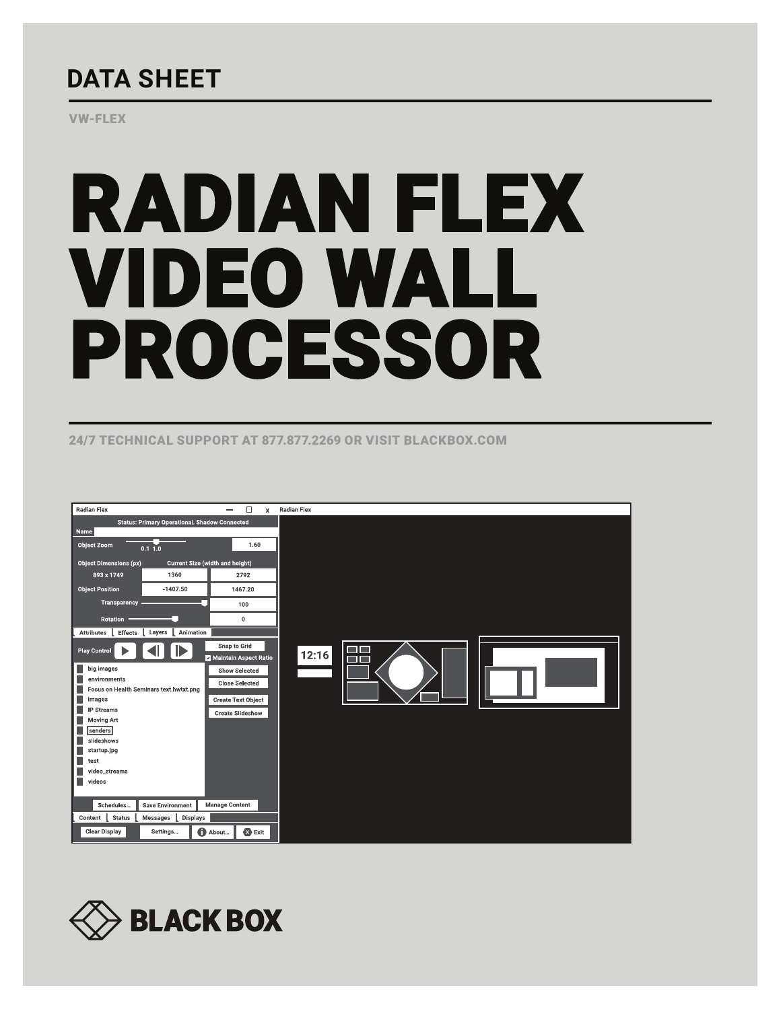## **DATA SHEET**

VW-FLEX

# RADIAN FLEX VIDEO WALL PROCESSOR

24/7 TECHNICAL SUPPORT AT 877.877.2269 OR VISIT BLACKBOX.COM



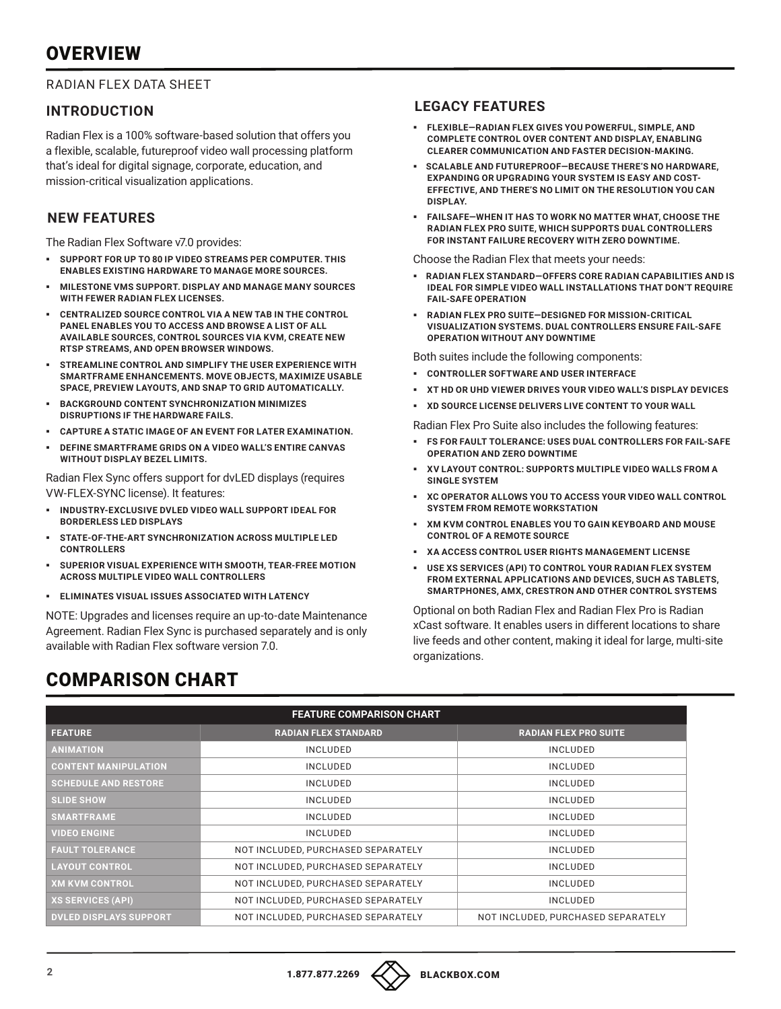## **OVERVIEW**

#### RADIAN FLEX DATA SHEET

#### **INTRODUCTION**

Radian Flex is a 100% software-based solution that offers you a flexible, scalable, futureproof video wall processing platform that's ideal for digital signage, corporate, education, and mission-critical visualization applications.

## **NEW FEATURES**

The Radian Flex Software v7.0 provides:

- § **SUPPORT FOR UP TO 80 IP VIDEO STREAMS PER COMPUTER. THIS ENABLES EXISTING HARDWARE TO MANAGE MORE SOURCES.**
- § **MILESTONE VMS SUPPORT. DISPLAY AND MANAGE MANY SOURCES WITH FEWER RADIAN FLEX LICENSES.**
- § **CENTRALIZED SOURCE CONTROL VIA A NEW TAB IN THE CONTROL PANEL ENABLES YOU TO ACCESS AND BROWSE A LIST OF ALL AVAILABLE SOURCES, CONTROL SOURCES VIA KVM, CREATE NEW RTSP STREAMS, AND OPEN BROWSER WINDOWS.**
- § **STREAMLINE CONTROL AND SIMPLIFY THE USER EXPERIENCE WITH SMARTFRAME ENHANCEMENTS. MOVE OBJECTS, MAXIMIZE USABLE SPACE, PREVIEW LAYOUTS, AND SNAP TO GRID AUTOMATICALLY.**
- § **BACKGROUND CONTENT SYNCHRONIZATION MINIMIZES DISRUPTIONS IF THE HARDWARE FAILS.**
- § **CAPTURE A STATIC IMAGE OF AN EVENT FOR LATER EXAMINATION.**
- § **DEFINE SMARTFRAME GRIDS ON A VIDEO WALL'S ENTIRE CANVAS WITHOUT DISPLAY BEZEL LIMITS.**

Radian Flex Sync offers support for dvLED displays (requires VW-FLEX-SYNC license). It features:

- § **INDUSTRY-EXCLUSIVE DVLED VIDEO WALL SUPPORT IDEAL FOR BORDERLESS LED DISPLAYS**
- § **STATE-OF-THE-ART SYNCHRONIZATION ACROSS MULTIPLE LED CONTROLLERS**
- § **SUPERIOR VISUAL EXPERIENCE WITH SMOOTH, TEAR-FREE MOTION ACROSS MULTIPLE VIDEO WALL CONTROLLERS**
- § **ELIMINATES VISUAL ISSUES ASSOCIATED WITH LATENCY**

NOTE: Upgrades and licenses require an up-to-date Maintenance Agreement. Radian Flex Sync is purchased separately and is only available with Radian Flex software version 7.0.

#### **LEGACY FEATURES**

- § **FLEXIBLE—RADIAN FLEX GIVES YOU POWERFUL, SIMPLE, AND COMPLETE CONTROL OVER CONTENT AND DISPLAY, ENABLING CLEARER COMMUNICATION AND FASTER DECISION-MAKING.**
- § **SCALABLE AND FUTUREPROOF—BECAUSE THERE'S NO HARDWARE, EXPANDING OR UPGRADING YOUR SYSTEM IS EASY AND COST-EFFECTIVE, AND THERE'S NO LIMIT ON THE RESOLUTION YOU CAN DISPLAY.**
- § **FAILSAFE—WHEN IT HAS TO WORK NO MATTER WHAT, CHOOSE THE RADIAN FLEX PRO SUITE, WHICH SUPPORTS DUAL CONTROLLERS FOR INSTANT FAILURE RECOVERY WITH ZERO DOWNTIME.**

Choose the Radian Flex that meets your needs:

- § **RADIAN FLEX STANDARD—OFFERS CORE RADIAN CAPABILITIES AND IS IDEAL FOR SIMPLE VIDEO WALL INSTALLATIONS THAT DON'T REQUIRE FAIL-SAFE OPERATION**
- § **RADIAN FLEX PRO SUITE—DESIGNED FOR MISSION-CRITICAL VISUALIZATION SYSTEMS. DUAL CONTROLLERS ENSURE FAIL-SAFE OPERATION WITHOUT ANY DOWNTIME**

Both suites include the following components:

- § **CONTROLLER SOFTWARE AND USER INTERFACE**
- § **XT HD OR UHD VIEWER DRIVES YOUR VIDEO WALL'S DISPLAY DEVICES**
- § **XD SOURCE LICENSE DELIVERS LIVE CONTENT TO YOUR WALL**

Radian Flex Pro Suite also includes the following features:

- § **FS FOR FAULT TOLERANCE: USES DUAL CONTROLLERS FOR FAIL-SAFE OPERATION AND ZERO DOWNTIME**
- § **XV LAYOUT CONTROL: SUPPORTS MULTIPLE VIDEO WALLS FROM A SINGLE SYSTEM**
- § **XC OPERATOR ALLOWS YOU TO ACCESS YOUR VIDEO WALL CONTROL SYSTEM FROM REMOTE WORKSTATION**
- § **XM KVM CONTROL ENABLES YOU TO GAIN KEYBOARD AND MOUSE CONTROL OF A REMOTE SOURCE**
- § **XA ACCESS CONTROL USER RIGHTS MANAGEMENT LICENSE**
- § **USE XS SERVICES (API) TO CONTROL YOUR RADIAN FLEX SYSTEM FROM EXTERNAL APPLICATIONS AND DEVICES, SUCH AS TABLETS, SMARTPHONES, AMX, CRESTRON AND OTHER CONTROL SYSTEMS**

Optional on both Radian Flex and Radian Flex Pro is Radian xCast software. It enables users in different locations to share live feeds and other content, making it ideal for large, multi-site organizations.

## COMPARISON CHART

| <b>FEATURE COMPARISON CHART</b> |                                    |                                    |
|---------------------------------|------------------------------------|------------------------------------|
| <b>FEATURE</b>                  | <b>RADIAN FLEX STANDARD</b>        | <b>RADIAN FLEX PRO SUITE</b>       |
| <b>ANIMATION</b>                | <b>INCLUDED</b>                    | <b>INCLUDED</b>                    |
| <b>CONTENT MANIPULATION</b>     | <b>INCLUDED</b>                    | <b>INCLUDED</b>                    |
| <b>SCHEDULE AND RESTORE</b>     | <b>INCLUDED</b>                    | <b>INCLUDED</b>                    |
| <b>SLIDE SHOW</b>               | <b>INCLUDED</b>                    | <b>INCLUDED</b>                    |
| <b>SMARTFRAME</b>               | <b>INCLUDED</b>                    | <b>INCLUDED</b>                    |
| <b>VIDEO ENGINE</b>             | <b>INCLUDED</b>                    | <b>INCLUDED</b>                    |
| <b>FAULT TOLERANCE</b>          | NOT INCLUDED, PURCHASED SEPARATELY | <b>INCLUDED</b>                    |
| <b>LAYOUT CONTROL</b>           | NOT INCLUDED, PURCHASED SEPARATELY | <b>INCLUDED</b>                    |
| <b>XM KVM CONTROL</b>           | NOT INCLUDED, PURCHASED SEPARATELY | <b>INCLUDED</b>                    |
| XS SERVICES (API)               | NOT INCLUDED, PURCHASED SEPARATELY | <b>INCLUDED</b>                    |
| <b>DVLED DISPLAYS SUPPORT</b>   | NOT INCLUDED, PURCHASED SEPARATELY | NOT INCLUDED, PURCHASED SEPARATELY |

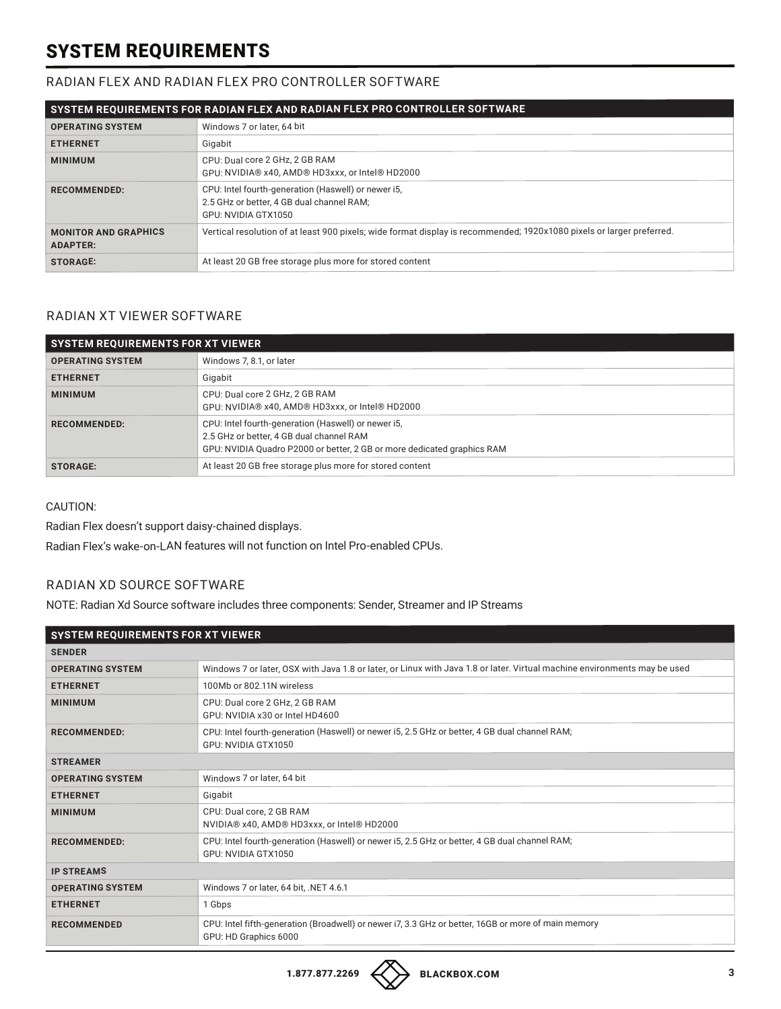## SYSTEM REQUIREMENTS

#### RADIAN FLEX AND RADIAN FLEX PRO CONTROLLER SOFTWARE

| SYSTEM REQUIREMENTS FOR RADIAN FLEX AND RADIAN FLEX PRO CONTROLLER SOFTWARE |                                                                                                                         |
|-----------------------------------------------------------------------------|-------------------------------------------------------------------------------------------------------------------------|
| <b>OPERATING SYSTEM</b>                                                     | Windows 7 or later, 64 bit                                                                                              |
| <b>ETHERNET</b>                                                             | Gigabit                                                                                                                 |
| <b>MINIMUM</b>                                                              | CPU: Dual core 2 GHz, 2 GB RAM<br>GPU: NVIDIA® x40. AMD® HD3xxx, or Intel® HD2000                                       |
| <b>RECOMMENDED:</b>                                                         | CPU: Intel fourth-generation (Haswell) or newer i5,<br>2.5 GHz or better, 4 GB dual channel RAM;<br>GPU: NVIDIA GTX1050 |
| <b>MONITOR AND GRAPHICS</b><br><b>ADAPTER:</b>                              | Vertical resolution of at least 900 pixels; wide format display is recommended; 1920x1080 pixels or larger preferred.   |
| <b>STORAGE:</b>                                                             | At least 20 GB free storage plus more for stored content                                                                |

## RADIAN XT VIEWER SOFTWARE

| <b>SYSTEM REQUIREMENTS FOR XT VIEWER</b> |                                                                                                                                                                            |
|------------------------------------------|----------------------------------------------------------------------------------------------------------------------------------------------------------------------------|
| <b>OPERATING SYSTEM</b>                  | Windows 7, 8.1, or later                                                                                                                                                   |
| <b>ETHERNET</b>                          | Gigabit                                                                                                                                                                    |
| <b>MINIMUM</b>                           | CPU: Dual core 2 GHz, 2 GB RAM<br>GPU: NVIDIA® x40. AMD® HD3xxx, or Intel® HD2000                                                                                          |
| <b>RECOMMENDED:</b>                      | CPU: Intel fourth-generation (Haswell) or newer i5,<br>2.5 GHz or better, 4 GB dual channel RAM<br>GPU: NVIDIA Quadro P2000 or better, 2 GB or more dedicated graphics RAM |
| <b>STORAGE:</b>                          | At least 20 GB free storage plus more for stored content                                                                                                                   |

CAUTION:

Radian Flex doesn't support daisy-chained displays.

Radian Flex's wake-on-LAN features will not function on Intel Pro-enabled CPUs.

## RADIAN XD SOURCE SOFTWARE

NOTE: Radian Xd Source software includes three components: Sender, Streamer and IP Streams

| <b>SYSTEM REQUIREMENTS FOR XT VIEWER</b> |                                                                                                                              |
|------------------------------------------|------------------------------------------------------------------------------------------------------------------------------|
| <b>SENDER</b>                            |                                                                                                                              |
| <b>OPERATING SYSTEM</b>                  | Windows 7 or later, OSX with Java 1.8 or later, or Linux with Java 1.8 or later. Virtual machine environments may be used    |
| <b>ETHERNET</b>                          | 100Mb or 802.11N wireless                                                                                                    |
| <b>MINIMUM</b>                           | CPU: Dual core 2 GHz, 2 GB RAM<br>GPU: NVIDIA x30 or Intel HD4600                                                            |
| <b>RECOMMENDED:</b>                      | CPU: Intel fourth-generation (Haswell) or newer i5, 2.5 GHz or better, 4 GB dual channel RAM;<br>GPU: NVIDIA GTX1050         |
| <b>STREAMER</b>                          |                                                                                                                              |
| <b>OPERATING SYSTEM</b>                  | Windows 7 or later, 64 bit                                                                                                   |
| <b>ETHERNET</b>                          | Gigabit                                                                                                                      |
| <b>MINIMUM</b>                           | CPU: Dual core, 2 GB RAM<br>NVIDIA® x40, AMD® HD3xxx, or Intel® HD2000                                                       |
| <b>RECOMMENDED:</b>                      | CPU: Intel fourth-generation (Haswell) or newer i5, 2.5 GHz or better, 4 GB dual channel RAM;<br>GPU: NVIDIA GTX1050         |
| <b>IP STREAMS</b>                        |                                                                                                                              |
| <b>OPERATING SYSTEM</b>                  | Windows 7 or later, 64 bit, .NET 4.6.1                                                                                       |
| <b>ETHERNET</b>                          | 1 Gbps                                                                                                                       |
| <b>RECOMMENDED</b>                       | CPU: Intel fifth-generation (Broadwell) or newer i7, 3.3 GHz or better, 16GB or more of main memory<br>GPU: HD Graphics 6000 |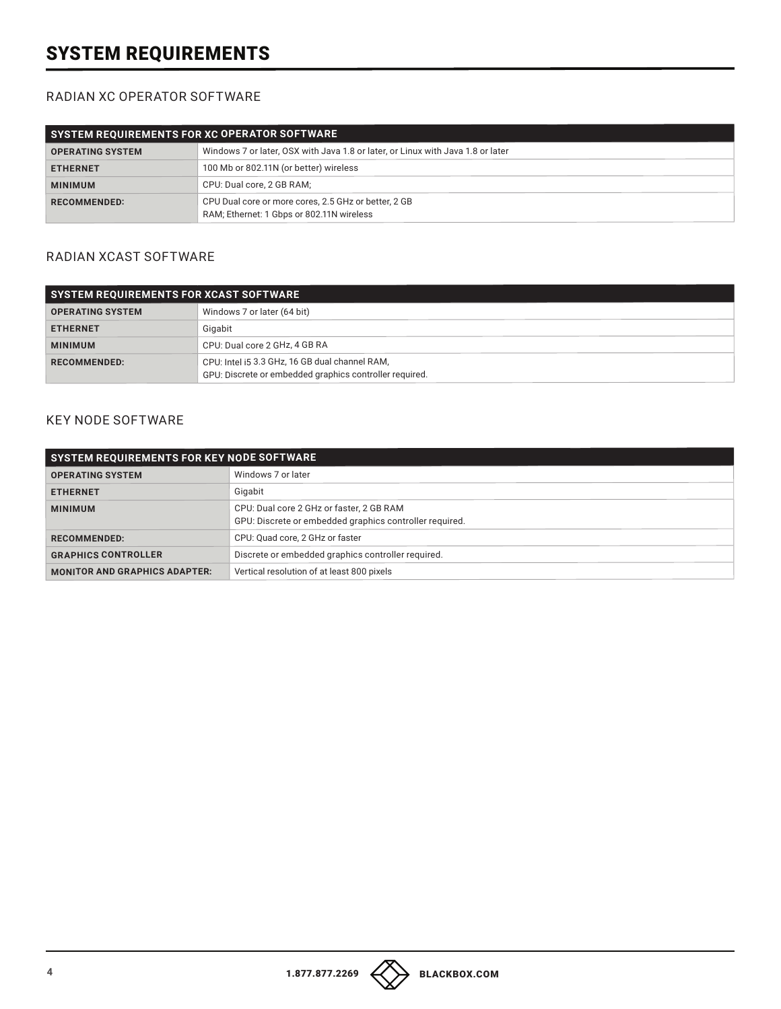## SYSTEM REQUIREMENTS

#### RADIAN XC OPERATOR SOFTWARE

| SYSTEM REQUIREMENTS FOR XC OPERATOR SOFTWARE |                                                                                                   |
|----------------------------------------------|---------------------------------------------------------------------------------------------------|
| <b>OPERATING SYSTEM</b>                      | Windows 7 or later, OSX with Java 1.8 or later, or Linux with Java 1.8 or later                   |
| <b>ETHERNET</b>                              | 100 Mb or 802.11N (or better) wireless                                                            |
| <b>MINIMUM</b>                               | CPU: Dual core. 2 GB RAM:                                                                         |
| <b>RECOMMENDED:</b>                          | CPU Dual core or more cores, 2.5 GHz or better, 2 GB<br>RAM; Ethernet: 1 Gbps or 802.11N wireless |

#### RADIAN XCAST SOFTWARE

| <b>SYSTEM REQUIREMENTS FOR XCAST SOFTWARE</b> |                                                                                                           |
|-----------------------------------------------|-----------------------------------------------------------------------------------------------------------|
| <b>OPERATING SYSTEM</b>                       | Windows 7 or later (64 bit)                                                                               |
| <b>ETHERNET</b>                               | Gigabit                                                                                                   |
| <b>MINIMUM</b>                                | CPU: Dual core 2 GHz, 4 GB RA                                                                             |
| <b>RECOMMENDED:</b>                           | CPU: Intel i5 3.3 GHz, 16 GB dual channel RAM,<br>GPU: Discrete or embedded graphics controller required. |

## KEY NODE SOFTWARE

| SYSTEM REQUIREMENTS FOR KEY NODE SOFTWARE |                                                                                                     |
|-------------------------------------------|-----------------------------------------------------------------------------------------------------|
| <b>OPERATING SYSTEM</b>                   | Windows 7 or later                                                                                  |
| <b>ETHERNET</b>                           | Gigabit                                                                                             |
| <b>MINIMUM</b>                            | CPU: Dual core 2 GHz or faster, 2 GB RAM<br>GPU: Discrete or embedded graphics controller required. |
| <b>RECOMMENDED:</b>                       | CPU: Quad core, 2 GHz or faster                                                                     |
| <b>GRAPHICS CONTROLLER</b>                | Discrete or embedded graphics controller required.                                                  |
| <b>MONITOR AND GRAPHICS ADAPTER:</b>      | Vertical resolution of at least 800 pixels                                                          |

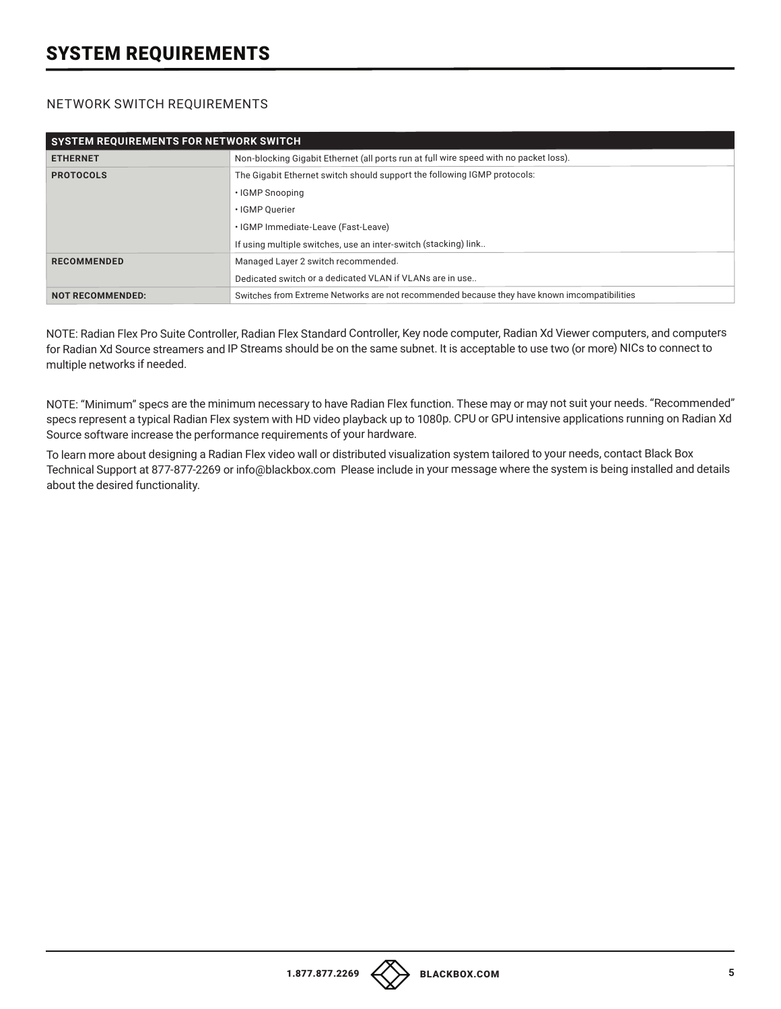## SYSTEM REQUIREMENTS

#### NETWORK SWITCH REQUIREMENTS

| <b>SYSTEM REQUIREMENTS FOR NETWORK SWITCH</b> |                                                                                              |
|-----------------------------------------------|----------------------------------------------------------------------------------------------|
| <b>ETHERNET</b>                               | Non-blocking Gigabit Ethernet (all ports run at full wire speed with no packet loss).        |
| <b>PROTOCOLS</b>                              | The Gigabit Ethernet switch should support the following IGMP protocols:                     |
|                                               | • IGMP Snooping                                                                              |
|                                               | · IGMP Ouerier                                                                               |
|                                               | · IGMP Immediate-Leave (Fast-Leave)                                                          |
|                                               | If using multiple switches, use an inter-switch (stacking) link                              |
| <b>RECOMMENDED</b>                            | Managed Layer 2 switch recommended.                                                          |
|                                               | Dedicated switch or a dedicated VLAN if VLANs are in use                                     |
| <b>NOT RECOMMENDED:</b>                       | Switches from Extreme Networks are not recommended because they have known imcompatibilities |

NOTE: Radian Flex Pro Suite Controller, Radian Flex Standard Controller, Key node computer, Radian Xd Viewer computers, and computers for Radian Xd Source streamers and IP Streams should be on the same subnet. It is acceptable to use two (or more) NICs to connect to multiple networks if needed.

NOTE: "Minimum" specs are the minimum necessary to have Radian Flex function. These may or may not suit your needs. "Recommended" specs represent a typical Radian Flex system with HD video playback up to 1080p. CPU or GPU intensive applications running on Radian Xd Source software increase the performance requirements of your hardware.

To learn more about designing a Radian Flex video wall or distributed visualization system tailored to your needs, contact Black Box Technical Support at 877-877-2269 or info@blackbox.com Please include in your message where the system is being installed and details about the desired functionality.

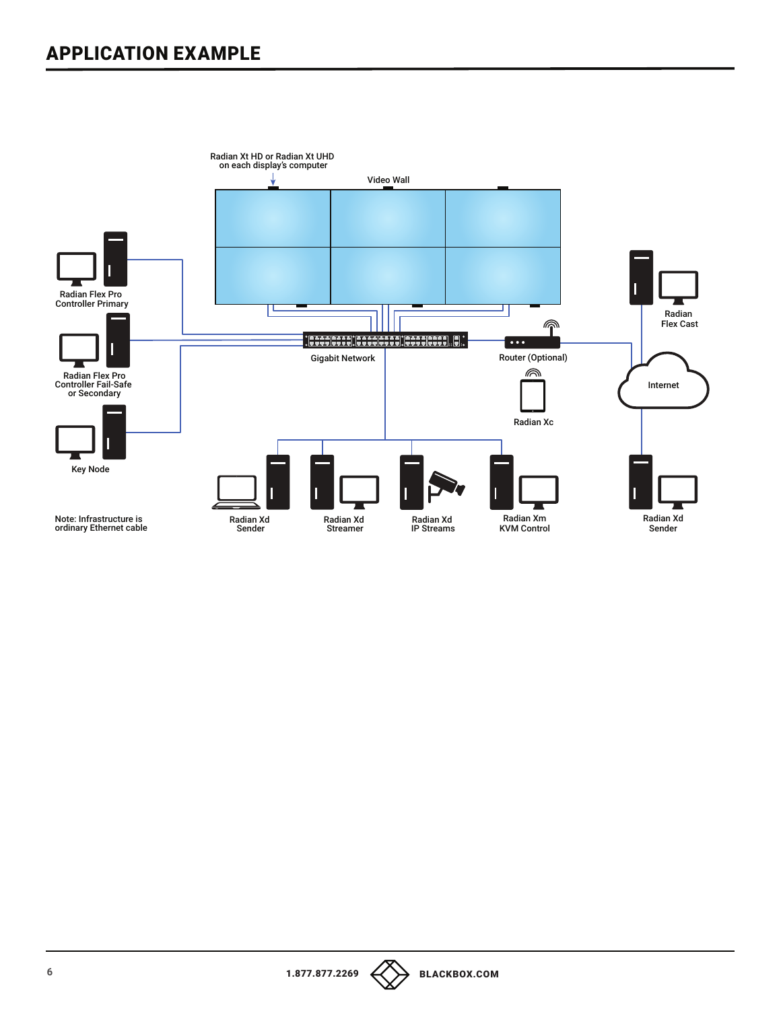## APPLICATION EXAMPLE